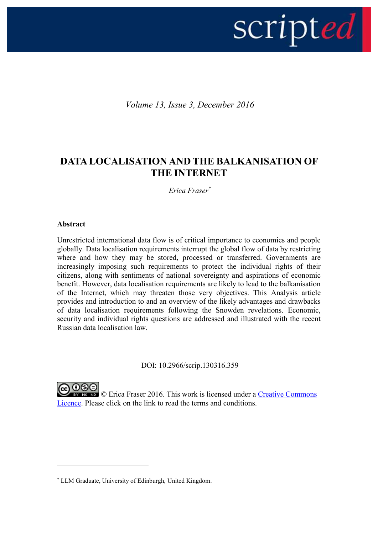

*Volume 13, Issue 3, December 2016*

# **DATA LOCALISATION AND THE BALKANISATION OF THE INTERNET**

*Erica Fraser\**

# **Abstract**

1

Unrestricted international data flow is of critical importance to economies and people globally. Data localisation requirements interrupt the global flow of data by restricting where and how they may be stored, processed or transferred. Governments are increasingly imposing such requirements to protect the individual rights of their citizens, along with sentiments of national sovereignty and aspirations of economic benefit. However, data localisation requirements are likely to lead to the balkanisation of the Internet, which may threaten those very objectives. This Analysis article provides and introduction to and an overview of the likely advantages and drawbacks of data localisation requirements following the Snowden revelations. Economic, security and individual rights questions are addressed and illustrated with the recent Russian data localisation law.

DOI: 10.2966/scrip.130316.359

**EXEL** © Erica Fraser 2016. This work is licensed under a Creative Commons [Licence.](http://creativecommons.org/licenses/by-nc-nd/2.5/scotland/) Please click on the link to read the terms and conditions.

<sup>\*</sup> LLM Graduate, University of Edinburgh, United Kingdom.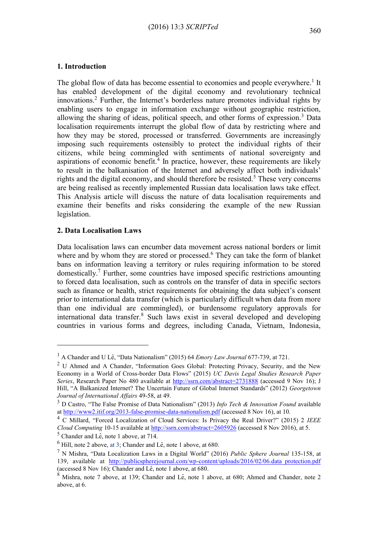### **1. Introduction**

The global flow of data has become essential to economies and people everywhere.<sup>1</sup> It has enabled development of the digital economy and revolutionary technical innovations.<sup>2</sup> Further, the Internet's borderless nature promotes individual rights by enabling users to engage in information exchange without geographic restriction, allowing the sharing of ideas, political speech, and other forms of expression.<sup>3</sup> Data localisation requirements interrupt the global flow of data by restricting where and how they may be stored, processed or transferred. Governments are increasingly imposing such requirements ostensibly to protect the individual rights of their citizens, while being commingled with sentiments of national sovereignty and aspirations of economic benefit.<sup>4</sup> In practice, however, these requirements are likely to result in the balkanisation of the Internet and adversely affect both individuals' rights and the digital economy, and should therefore be resisted.<sup>5</sup> These very concerns are being realised as recently implemented Russian data localisation laws take effect. This Analysis article will discuss the nature of data localisation requirements and examine their benefits and risks considering the example of the new Russian legislation.

#### **2. Data Localisation Laws**

1

Data localisation laws can encumber data movement across national borders or limit where and by whom they are stored or processed.<sup>6</sup> They can take the form of blanket bans on information leaving a territory or rules requiring information to be stored domestically.<sup>7</sup> Further, some countries have imposed specific restrictions amounting to forced data localisation, such as controls on the transfer of data in specific sectors such as finance or health, strict requirements for obtaining the data subject's consent prior to international data transfer (which is particularly difficult when data from more than one individual are commingled), or burdensome regulatory approvals for international data transfer.<sup>8</sup> Such laws exist in several developed and developing countries in various forms and degrees, including Canada, Vietnam, Indonesia,

<sup>1</sup> A Chander and U Lê, "Data Nationalism" (2015) 64 *Emory Law Journal* 677-739, at 721.

<sup>&</sup>lt;sup>2</sup> U Ahmed and A Chander, "Information Goes Global: Protecting Privacy, Security, and the New Economy in a World of Cross-border Data Flows" (2015) *UC Davis Legal Studies Research Paper*  Series, Research Paper No 480 available at<http://ssrn.com/abstract=2731888> (accessed 9 Nov 16); J Hill, "A Balkanized Internet? The Uncertain Future of Global Internet Standards" (2012) *Georgetown Journal of International Affairs* 49-58, at 49.

<sup>3</sup> D Castro, "The False Promise of Data Nationalism" (2013) *Info Tech & Innovation Found* available at <http://www2.itif.org/2013-false-promise-data-nationalism.pdf> (accessed 8 Nov 16), at 10.

<sup>4</sup> C Millard, "Forced Localization of Cloud Services: Is Privacy the Real Driver?" (2015) 2 *IEEE Cloud Computing* 10-15 available at<http://ssrn.com/abstract=2605926> (accessed 8 Nov 2016), at 5.

 $<sup>5</sup>$  Chander and Lê, note 1 above, at 714.</sup>

 $^6$  Hill, note 2 above, at 3; Chander and Lê, note 1 above, at 680.

<sup>7</sup> N Mishra, "Data Localization Laws in a Digital World" (2016) *Public Sphere Journal* 135-158, at 139, available at http://publicspherejournal.com/wp-content/uploads/2016/02/06.data protection.pdf (accessed 8 Nov 16); Chander and Lê, note 1 above, at 680.

 $8$  Mishra, note 7 above, at 139; Chander and Lê, note 1 above, at 680; Ahmed and Chander, note 2 above, at 6.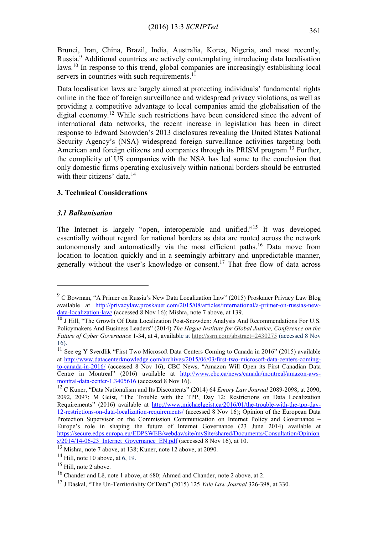Brunei, Iran, China, Brazil, India, Australia, Korea, Nigeria, and most recently, Russia.<sup>9</sup> Additional countries are actively contemplating introducing data localisation laws.<sup>10</sup> In response to this trend, global companies are increasingly establishing local servers in countries with such requirements. $1\overline{1}$ 

Data localisation laws are largely aimed at protecting individuals' fundamental rights online in the face of foreign surveillance and widespread privacy violations, as well as providing a competitive advantage to local companies amid the globalisation of the digital economy.<sup>12</sup> While such restrictions have been considered since the advent of international data networks, the recent increase in legislation has been in direct response to Edward Snowden's 2013 disclosures revealing the United States National Security Agency's (NSA) widespread foreign surveillance activities targeting both American and foreign citizens and companies through its PRISM program.<sup>13</sup> Further, the complicity of US companies with the NSA has led some to the conclusion that only domestic firms operating exclusively within national borders should be entrusted with their citizens' data.<sup>14</sup>

# **3. Technical Considerations**

# *3.1 Balkanisation*

<u>.</u>

The Internet is largely "open, interoperable and unified."<sup>15</sup> It was developed essentially without regard for national borders as data are routed across the network autonomously and automatically via the most efficient paths.<sup>16</sup> Data move from location to location quickly and in a seemingly arbitrary and unpredictable manner, generally without the user's knowledge or consent.<sup>17</sup> That free flow of data across

<sup>9</sup> C Bowman, "A Primer on Russia's New Data Localization Law" (2015) Proskauer Privacy Law Blog available at [http://privacylaw.proskauer.com/2015/08/articles/international/a-primer-on-russias-new](http://privacylaw.proskauer.com/2015/08/articles/international/a-primer-on-russias-new-data-localization-law/)[data-localization-law/](http://privacylaw.proskauer.com/2015/08/articles/international/a-primer-on-russias-new-data-localization-law/) (accessed 8 Nov 16); Mishra, note 7 above, at 139.

 $10$  J Hill, "The Growth Of Data Localization Post-Snowden: Analysis And Recommendations For U.S. Policymakers And Business Leaders" (2014) *The Hague Institute for Global Justice, Conference on the Future of Cyber Governance* 1-34, at 4, available at<http://ssrn.com/abstract=2430275> (accessed 8 Nov 16).

<sup>&</sup>lt;sup>11</sup> See eg Y Sverdlik "First Two Microsoft Data Centers Coming to Canada in 2016" (2015) available at [http://www.datacenterknowledge.com/archives/2015/06/03/first-two-microsoft-data-centers-coming](http://www.datacenterknowledge.com/archives/2015/06/03/first-two-microsoft-data-centers-coming-to-canada-in-2016/)[to-canada-in-2016/](http://www.datacenterknowledge.com/archives/2015/06/03/first-two-microsoft-data-centers-coming-to-canada-in-2016/) (accessed 8 Nov 16); CBC News, "Amazon Will Open its First Canadian Data Centre in Montreal" (2016) available at [http://www.cbc.ca/news/canada/montreal/amazon-aws](http://www.cbc.ca/news/canada/montreal/amazon-aws-montral-data-center-1.3405616)[montral-data-center-1.3405616](http://www.cbc.ca/news/canada/montreal/amazon-aws-montral-data-center-1.3405616) (accessed 8 Nov 16).

<sup>12</sup> C Kuner, "Data Nationalism and Its Discontents" (2014) 64 *Emory Law Journal* 2089-2098, at 2090, 2092, 2097; M Geist, "The Trouble with the TPP, Day 12: Restrictions on Data Localization Requirements" (2016) available at [http://www.michaelgeist.ca/2016/01/the-trouble-with-the-tpp-day-](http://www.michaelgeist.ca/2016/01/the-trouble-with-the-tpp-day-12-restrictions-on-data-localization-requirements/)[12-restrictions-on-data-localization-requirements/](http://www.michaelgeist.ca/2016/01/the-trouble-with-the-tpp-day-12-restrictions-on-data-localization-requirements/) (accessed 8 Nov 16); Opinion of the European Data Protection Supervisor on the Commission Communication on Internet Policy and Governance – Europe's role in shaping the future of Internet Governance (23 June 2014) available at [https://secure.edps.europa.eu/EDPSWEB/webdav/site/mySite/shared/Documents/Consultation/Opinion](https://secure.edps.europa.eu/EDPSWEB/webdav/site/mySite/shared/Documents/Consultation/Opinions/2014/14-06-23_Internet_Governance_EN.pdf)  $s/2014/14-06-23$  Internet Governance EN.pdf (accessed 8 Nov 16), at 10.

<sup>13</sup> Mishra, note 7 above, at 138; Kuner, note 12 above, at 2090.

 $14$  Hill, note 10 above, at 6, 19.

<sup>&</sup>lt;sup>15</sup> Hill, note 2 above.

<sup>16</sup> Chander and Lê, note 1 above, at 680; Ahmed and Chander, note 2 above, at 2.

<sup>17</sup> J Daskal, "The Un-Territoriality Of Data" (2015) 125 *Yale Law Journal* 326-398, at 330.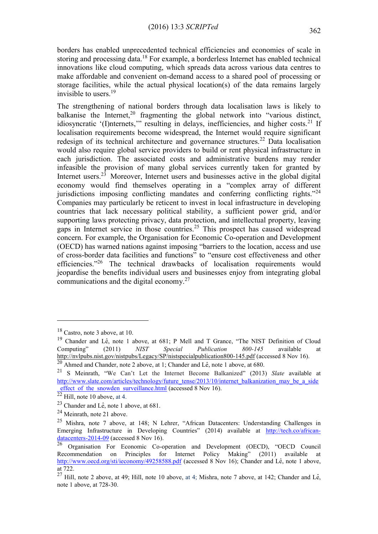borders has enabled unprecedented technical efficiencies and economies of scale in storing and processing data.<sup>18</sup> For example, a borderless Internet has enabled technical innovations like cloud computing, which spreads data across various data centres to make affordable and convenient on-demand access to a shared pool of processing or storage facilities, while the actual physical location(s) of the data remains largely invisible to users.<sup>19</sup>

The strengthening of national borders through data localisation laws is likely to balkanise the Internet,  $20$  fragmenting the global network into "various distinct, idiosyncratic '(I)nternets," resulting in delays, inefficiencies, and higher costs.<sup>21</sup> If localisation requirements become widespread, the Internet would require significant redesign of its technical architecture and governance structures.<sup>22</sup> Data localisation would also require global service providers to build or rent physical infrastructure in each jurisdiction. The associated costs and administrative burdens may render infeasible the provision of many global services currently taken for granted by Internet users.<sup>23</sup> Moreover, Internet users and businesses active in the global digital economy would find themselves operating in a "complex array of different jurisdictions imposing conflicting mandates and conferring conflicting rights."<sup>24</sup> Companies may particularly be reticent to invest in local infrastructure in developing countries that lack necessary political stability, a sufficient power grid, and/or supporting laws protecting privacy, data protection, and intellectual property, leaving gaps in Internet service in those countries.<sup>25</sup> This prospect has caused widespread concern. For example, the Organisation for Economic Co-operation and Development (OECD) has warned nations against imposing "barriers to the location, access and use of cross-border data facilities and functions" to "ensure cost effectiveness and other efficiencies."<sup>26</sup> The technical drawbacks of localisation requirements would jeopardise the benefits individual users and businesses enjoy from integrating global communications and the digital economy.<sup>27</sup>

<sup>18</sup> Castro, note 3 above, at 10.

<sup>&</sup>lt;sup>19</sup> Chander and Lê, note 1 above, at 681; P Mell and T Grance, "The NIST Definition of Cloud Computing" (2011) *NIST Special Publication 800-145* available at <http://nvlpubs.nist.gov/nistpubs/Legacy/SP/nistspecialpublication800-145.pdf> (accessed 8 Nov 16). <sup>20</sup> Ahmed and Chander, note 2 above, at 1; Chander and Lê, note 1 above, at 680.

<sup>21</sup> S Meinrath, "We Can't Let the Internet Become Balkanized" (2013) *Slate* available at [http://www.slate.com/articles/technology/future\\_tense/2013/10/internet\\_balkanization\\_may\\_be\\_a\\_side](http://www.slate.com/articles/technology/future_tense/2013/10/internet_balkanization_may_be_a_side_effect_of_the_snowden_surveillance.html) effect of the snowden surveillance.html (accessed 8 Nov 16).

 $22$  Hill, note 10 above, at 4.

<sup>23</sup> Chander and Lê, note 1 above, at 681.

<sup>24</sup> Meinrath, note 21 above.

<sup>25</sup> Mishra, note 7 above, at 148; N Lehrer, "African Datacenters: Understanding Challenges in Emerging Infrastructure in Developing Countries" (2014) available at [http://tech.co/african](http://tech.co/african-datacenters-2014-09)[datacenters-2014-09](http://tech.co/african-datacenters-2014-09) (accessed 8 Nov 16).

 $^{26}$  Organisation For Economic Co-operation and Development (OECD), "OECD Council Recommendation on Principles for Internet Policy Making" (2011) available at <http://www.oecd.org/sti/ieconomy/49258588.pdf> (accessed 8 Nov 16); Chander and Lê, note 1 above, at 722.

 $^{27}$  Hill, note 2 above, at 49; Hill, note 10 above, at 4; Mishra, note 7 above, at 142; Chander and Lê, note 1 above, at 728-30.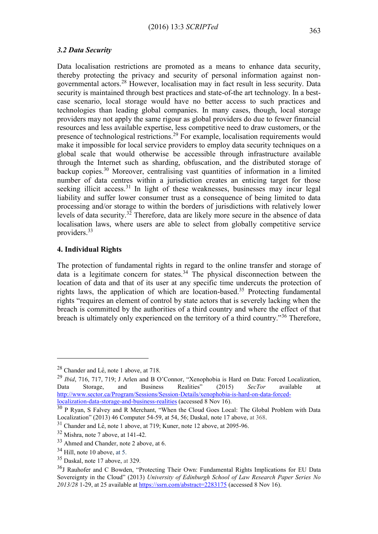#### *3.2 Data Security*

Data localisation restrictions are promoted as a means to enhance data security, thereby protecting the privacy and security of personal information against nongovernmental actors.<sup>28</sup> However, localisation may in fact result in less security. Data security is maintained through best practices and state-of-the art technology. In a bestcase scenario, local storage would have no better access to such practices and technologies than leading global companies. In many cases, though, local storage providers may not apply the same rigour as global providers do due to fewer financial resources and less available expertise, less competitive need to draw customers, or the presence of technological restrictions.<sup>29</sup> For example, localisation requirements would make it impossible for local service providers to employ data security techniques on a global scale that would otherwise be accessible through infrastructure available through the Internet such as sharding, obfuscation, and the distributed storage of backup copies.<sup>30</sup> Moreover, centralising vast quantities of information in a limited number of data centres within a jurisdiction creates an enticing target for those seeking illicit access.<sup>31</sup> In light of these weaknesses, businesses may incur legal liability and suffer lower consumer trust as a consequence of being limited to data processing and/or storage to within the borders of jurisdictions with relatively lower levels of data security.<sup>32</sup> Therefore, data are likely more secure in the absence of data localisation laws, where users are able to select from globally competitive service providers.<sup>33</sup>

## **4. Individual Rights**

The protection of fundamental rights in regard to the online transfer and storage of data is a legitimate concern for states.<sup>34</sup> The physical disconnection between the location of data and that of its user at any specific time undercuts the protection of rights laws, the application of which are location-based.<sup>35</sup> Protecting fundamental rights "requires an element of control by state actors that is severely lacking when the breach is committed by the authorities of a third country and where the effect of that breach is ultimately only experienced on the territory of a third country."<sup>36</sup> Therefore,

 $28$  Chander and Lê, note 1 above, at 718.

<sup>29</sup> *Ibid*, 716, 717, 719; J Arlen and B O'Connor, "Xenophobia is Hard on Data: Forced Localization, Data Storage, and Business Realities" (2015) *SecTor* available at [http://www.sector.ca/Program/Sessions/Session-Details/xenophobia-is-hard-on-data-forced](http://www.sector.ca/Program/Sessions/Session-Details/xenophobia-is-hard-on-data-forced-localization-data-storage-and-business-realities)[localization-data-storage-and-business-realities](http://www.sector.ca/Program/Sessions/Session-Details/xenophobia-is-hard-on-data-forced-localization-data-storage-and-business-realities) (accessed 8 Nov 16).

<sup>&</sup>lt;sup>30</sup> P Ryan, S Falvey and R Merchant, "When the Cloud Goes Local: The Global Problem with Data Localization" (2013) 46 Computer 54-59, at 54, 56; Daskal, note 17 above, at 368.

<sup>&</sup>lt;sup>31</sup> Chander and Lê, note 1 above, at 719; Kuner, note 12 above, at 2095-96.

<sup>32</sup> Mishra, note 7 above, at 141-42.

<sup>33</sup> Ahmed and Chander, note 2 above, at 6.

 $34$  Hill, note 10 above, at 5.

<sup>35</sup> Daskal, note 17 above, at 329.

<sup>36</sup>J Rauhofer and C Bowden, "Protecting Their Own: Fundamental Rights Implications for EU Data Sovereignty in the Cloud" (2013) *University of Edinburgh School of Law Research Paper Series No 2013/28* 1-29, at 25 available at<https://ssrn.com/abstract=2283175> (accessed 8 Nov 16).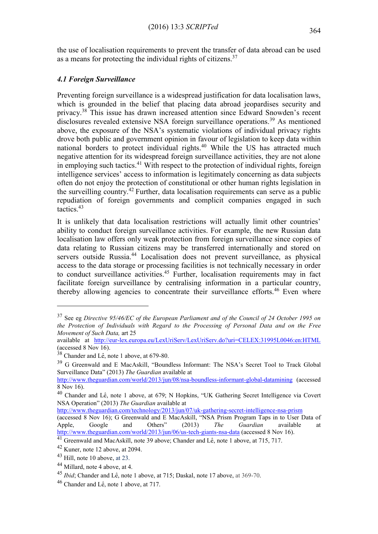the use of localisation requirements to prevent the transfer of data abroad can be used as a means for protecting the individual rights of citizens.<sup>37</sup>

# *4.1 Foreign Surveillance*

Preventing foreign surveillance is a widespread justification for data localisation laws, which is grounded in the belief that placing data abroad jeopardises security and privacy.<sup>38</sup> This issue has drawn increased attention since Edward Snowden's recent disclosures revealed extensive NSA foreign surveillance operations.<sup>39</sup> As mentioned above, the exposure of the NSA's systematic violations of individual privacy rights drove both public and government opinion in favour of legislation to keep data within national borders to protect individual rights.<sup>40</sup> While the US has attracted much negative attention for its widespread foreign surveillance activities, they are not alone in employing such tactics.<sup>41</sup> With respect to the protection of individual rights, foreign intelligence services' access to information is legitimately concerning as data subjects often do not enjoy the protection of constitutional or other human rights legislation in the surveilling country.<sup>42</sup> Further, data localisation requirements can serve as a public repudiation of foreign governments and complicit companies engaged in such tactics.<sup>43</sup>

It is unlikely that data localisation restrictions will actually limit other countries' ability to conduct foreign surveillance activities. For example, the new Russian data localisation law offers only weak protection from foreign surveillance since copies of data relating to Russian citizens may be transferred internationally and stored on servers outside Russia.<sup>44</sup> Localisation does not prevent surveillance, as physical access to the data storage or processing facilities is not technically necessary in order to conduct surveillance activities.<sup>45</sup> Further, localisation requirements may in fact facilitate foreign surveillance by centralising information in a particular country, thereby allowing agencies to concentrate their surveillance efforts.<sup>46</sup> Even where

<sup>37</sup> See eg *Directive 95/46/EC of the European Parliament and of the Council of 24 October 1995 on the Protection of Individuals with Regard to the Processing of Personal Data and on the Free Movement of Such Data,* art 25

available at <http://eur-lex.europa.eu/LexUriServ/LexUriServ.do?uri=CELEX:31995L0046:en:HTML> (accessed 8 Nov 16).

<sup>38</sup> Chander and Lê, note 1 above, at 679-80.

<sup>39</sup> G Greenwald and E MacAskill, "Boundless Informant: The NSA's Secret Tool to Track Global Surveillance Data" (2013) *The Guardian* available at

<http://www.theguardian.com/world/2013/jun/08/nsa-boundless-informant-global-datamining> (accessed 8 Nov 16).

<sup>40</sup> Chander and Lê, note 1 above, at 679; N Hopkins, "UK Gathering Secret Intelligence via Covert NSA Operation" (2013) *The Guardian* available at

<http://www.theguardian.com/technology/2013/jun/07/uk-gathering-secret-intelligence-nsa-prism>

<sup>(</sup>accessed 8 Nov 16); G Greenwald and E MacAskill, "NSA Prism Program Taps in to User Data of Apple, Google and Others" (2013) *The Guardian* available at <http://www.theguardian.com/world/2013/jun/06/us-tech-giants-nsa-data> (accessed 8 Nov 16).

<sup>41</sup> Greenwald and MacAskill, note 39 above; Chander and Lê, note 1 above, at 715, 717.

<sup>42</sup> Kuner, note 12 above, at 2094.

<sup>43</sup> Hill, note 10 above, at 23.

<sup>44</sup> Millard, note 4 above, at 4.

<sup>45</sup> *Ibid*; Chander and Lê, note 1 above, at 715; Daskal, note 17 above, at 369-70.

<sup>46</sup> Chander and Lê, note 1 above, at 717.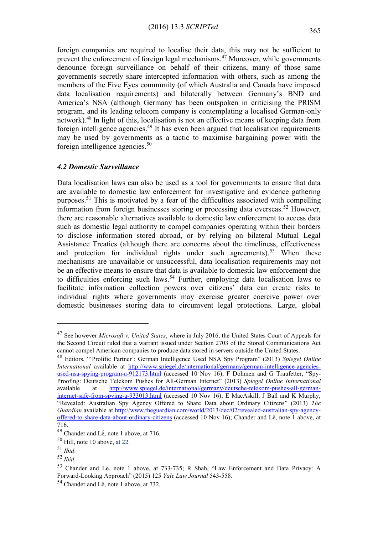foreign companies are required to localise their data, this may not be sufficient to prevent the enforcement of foreign legal mechanisms.<sup>47</sup> Moreover, while governments denounce foreign surveillance on behalf of their citizens, many of those same governments secretly share intercepted information with others, such as among the members of the Five Eyes community (of which Australia and Canada have imposed data localisation requirements) and bilaterally between Germany's BND and America's NSA (although Germany has been outspoken in criticising the PRISM program, and its leading telecom company is contemplating a localised German-only network).<sup>48</sup> In light of this, localisation is not an effective means of keeping data from foreign intelligence agencies.<sup>49</sup> It has even been argued that localisation requirements may be used by governments as a tactic to maximise bargaining power with the foreign intelligence agencies.<sup>50</sup>

#### *4.2 Domestic Surveillance*

Data localisation laws can also be used as a tool for governments to ensure that data are available to domestic law enforcement for investigative and evidence gathering purposes.<sup>51</sup> This is motivated by a fear of the difficulties associated with compelling information from foreign businesses storing or processing data overseas.<sup>52</sup> However, there are reasonable alternatives available to domestic law enforcement to access data such as domestic legal authority to compel companies operating within their borders to disclose information stored abroad, or by relying on bilateral Mutual Legal Assistance Treaties (although there are concerns about the timeliness, effectiveness and protection for individual rights under such agreements).<sup>53</sup> When these mechanisms are unavailable or unsuccessful, data localisation requirements may not be an effective means to ensure that data is available to domestic law enforcement due to difficulties enforcing such laws.<sup>54</sup> Further, employing data localisation laws to facilitate information collection powers over citizens' data can create risks to individual rights where governments may exercise greater coercive power over domestic businesses storing data to circumvent legal protections. Large, global

<sup>47</sup> See however *Microsoft v. United States*, where in July 2016, the United States Court of Appeals for the Second Circuit ruled that a warrant issued under Section 2703 of the Stored Communications Act cannot compel American companies to produce data stored in servers outside the United States.

<sup>48</sup> Editors, "'Prolific Partner': German Intelligence Used NSA Spy Program" (2013) *Spiegel Online International* available at [http://www.spiegel.de/international/germany/german-intelligence-agencies](http://www.spiegel.de/international/germany/german-intelligence-agencies-used-nsa-spying-program-a-912173.html)[used-nsa-spying-program-a-912173.html](http://www.spiegel.de/international/germany/german-intelligence-agencies-used-nsa-spying-program-a-912173.html) (accessed 10 Nov 16); F Dohmen and G Traufetter, "Spy-Proofing: Deutsche Telekom Pushes for All-German Internet" (2013) *Spiegel Online Intternational*  available at [http://www.spiegel.de/international/germany/deutsche-telekom-pushes-all-german](http://www.spiegel.de/international/germany/deutsche-telekom-pushes-all-german-internet-safe-from-spying-a-933013.html)[internet-safe-from-spying-a-933013.html](http://www.spiegel.de/international/germany/deutsche-telekom-pushes-all-german-internet-safe-from-spying-a-933013.html) (accessed 10 Nov 16); E MacAskill, J Ball and K Murphy, "Revealed: Australian Spy Agency Offered to Share Data about Ordinary Citizens" (2013) *The Guardian* available at [http://www.theguardian.com/world/2013/dec/02/revealed-australian-spy-agency](http://www.theguardian.com/world/2013/dec/02/revealed-australian-spy-agency-offered-to-share-data-about-ordinary-citizens)[offered-to-share-data-about-ordinary-citizens](http://www.theguardian.com/world/2013/dec/02/revealed-australian-spy-agency-offered-to-share-data-about-ordinary-citizens) (accessed 10 Nov 16); Chander and Lê, note 1 above, at 716.

<sup>49</sup> Chander and Lê, note 1 above, at 716.

<sup>50</sup> Hill, note 10 above, at 22.

<sup>51</sup> *Ibid*.

<sup>52</sup> *Ibid*.

<sup>53</sup> Chander and Lê, note 1 above, at 733-735; R Shah, "Law Enforcement and Data Privacy: A Forward-Looking Approach" (2015) 125 *Yale Law Journal* 543-558.

<sup>54</sup> Chander and Lê, note 1 above, at 732.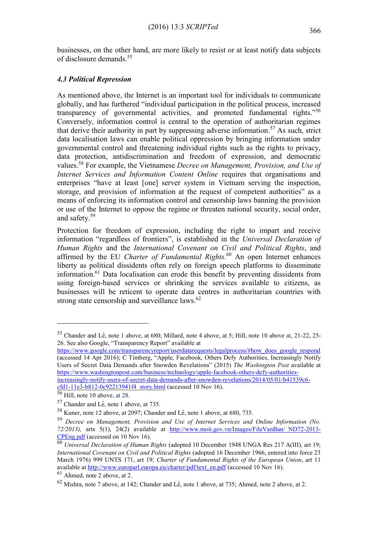businesses, on the other hand, are more likely to resist or at least notify data subjects of disclosure demands.<sup>55</sup>

# *4.3 Political Repression*

As mentioned above, the Internet is an important tool for individuals to communicate globally, and has furthered "individual participation in the political process, increased transparency of governmental activities, and promoted fundamental rights."<sup>56</sup> Conversely, information control is central to the operation of authoritarian regimes that derive their authority in part by suppressing adverse information.<sup>57</sup> As such, strict data localisation laws can enable political oppression by bringing information under governmental control and threatening individual rights such as the rights to privacy, data protection, antidiscrimination and freedom of expression, and democratic values.<sup>58</sup> For example, the Vietnamese *Decree on Management, Provision, and Use of Internet Services and Information Content Online* requires that organisations and enterprises "have at least [one] server system in Vietnam serving the inspection, storage, and provision of information at the request of competent authorities" as a means of enforcing its information control and censorship laws banning the provision or use of the Internet to oppose the regime or threaten national security, social order, and safety.<sup>59</sup>

Protection for freedom of expression, including the right to impart and receive information "regardless of frontiers", is established in the *Universal Declaration of Human Rights* and the *International Covenant on Civil and Political Rights*, and affirmed by the EU *Charter of Fundamental Rights*. <sup>60</sup> An open Internet enhances liberty as political dissidents often rely on foreign speech platforms to disseminate information.<sup>61</sup> Data localisation can erode this benefit by preventing dissidents from using foreign-based services or shrinking the services available to citizens, as businesses will be reticent to operate data centres in authoritarian countries with strong state censorship and surveillance  $laws.<sup>62</sup>$ 

[https://www.google.com/transparencyreport/userdatarequests/legalprocess/#how\\_does\\_google\\_respond](https://www.google.com/transparencyreport/userdatarequests/legalprocess/#how_does_google_respond) (accessed 14 Apr 2016); C Timberg, "Apple, Facebook, Others Defy Authorities, Increasingly Notify Users of Secret Data Demands after Snowden Revelations" (2015) *The Washington Post* available at [https://www.washingtonpost.com/business/technology/apple-facebook-others-defy-authorities](https://www.washingtonpost.com/business/technology/apple-facebook-others-defy-authorities-increasingly-notify-users-of-secret-data-demands-after-snowden-revelations/2014/05/01/b41539c6-cfd1-11e3-b812-0c92213941f4_story.html)[increasingly-notify-users-of-secret-data-demands-after-snowden-revelations/2014/05/01/b41539c6](https://www.washingtonpost.com/business/technology/apple-facebook-others-defy-authorities-increasingly-notify-users-of-secret-data-demands-after-snowden-revelations/2014/05/01/b41539c6-cfd1-11e3-b812-0c92213941f4_story.html) [cfd1-11e3-b812-0c92213941f4\\_story.html](https://www.washingtonpost.com/business/technology/apple-facebook-others-defy-authorities-increasingly-notify-users-of-secret-data-demands-after-snowden-revelations/2014/05/01/b41539c6-cfd1-11e3-b812-0c92213941f4_story.html) (accessed 10 Nov 16).

<sup>56</sup> Hill, note 10 above, at 28.

1

<sup>61</sup> Ahmed, note 2 above, at 2.

<sup>55</sup> Chander and Lê, note 1 above, at 680; Millard, note 4 above, at 5; Hill, note 10 above at, 21-22, 25- 26. See also Google, "Transparency Report" available at

<sup>57</sup> Chander and Lê, note 1 above, at 735.

<sup>58</sup> Kuner, note 12 above, at 2097; Chander and Lê, note 1 above, at 680, 735.

<sup>59</sup> *Decree on Management, Provision and Use of Internet Services and Online Information (No. 72/2013),* arts 5(1), 24(2) available at [http://www.moit.gov.vn/Images/FileVanBan/\\_ND72-2013-](http://www.moit.gov.vn/Images/FileVanBan/_ND72-2013-CPEng.pdf) [CPEng.pdf](http://www.moit.gov.vn/Images/FileVanBan/_ND72-2013-CPEng.pdf) (accessed on 10 Nov 16).

<sup>60</sup> *Universal Declaration of Human Rights* (adopted 10 December 1948 UNGA Res 217 A(III), art 19; *International Covenant on Civil and Political Rights* (adopted 16 December 1966, entered into force 23 March 1976) 999 UNTS 171, art 19; *Charter of Fundamental Rights of the European Union*, art 11 available at [http://www.europarl.europa.eu/charter/pdf/text\\_en.pdf](http://www.europarl.europa.eu/charter/pdf/text_en.pdf) (accessed 10 Nov 16).

<sup>62</sup> Mishra, note 7 above, at 142; Chander and Lê, note 1 above, at 735; Ahmed, note 2 above, at 2.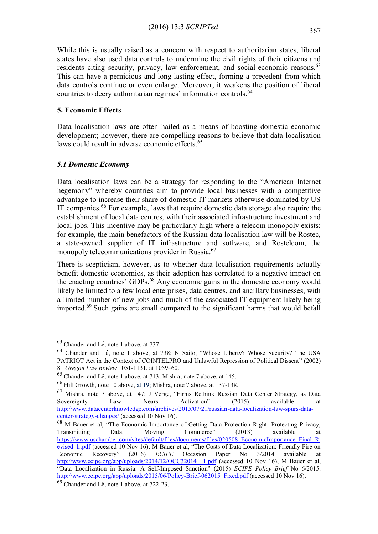While this is usually raised as a concern with respect to authoritarian states, liberal states have also used data controls to undermine the civil rights of their citizens and residents citing security, privacy, law enforcement, and social-economic reasons.<sup>63</sup> This can have a pernicious and long-lasting effect, forming a precedent from which data controls continue or even enlarge. Moreover, it weakens the position of liberal countries to decry authoritarian regimes' information controls.<sup>64</sup>

# **5. Economic Effects**

Data localisation laws are often hailed as a means of boosting domestic economic development; however, there are compelling reasons to believe that data localisation laws could result in adverse economic effects.<sup>65</sup>

# *5.1 Domestic Economy*

Data localisation laws can be a strategy for responding to the "American Internet hegemony" whereby countries aim to provide local businesses with a competitive advantage to increase their share of domestic IT markets otherwise dominated by US IT companies.<sup>66</sup> For example, laws that require domestic data storage also require the establishment of local data centres, with their associated infrastructure investment and local jobs. This incentive may be particularly high where a telecom monopoly exists; for example, the main benefactors of the Russian data localisation law will be Rostec, a state-owned supplier of IT infrastructure and software, and Rostelcom, the monopoly telecommunications provider in Russia.<sup>67</sup>

There is scepticism, however, as to whether data localisation requirements actually benefit domestic economies, as their adoption has correlated to a negative impact on the enacting countries' GDPs.<sup>68</sup> Any economic gains in the domestic economy would likely be limited to a few local enterprises, data centres, and ancillary businesses, with a limited number of new jobs and much of the associated IT equipment likely being imported.<sup>69</sup> Such gains are small compared to the significant harms that would befall

<sup>63</sup> Chander and Lê, note 1 above, at 737.

<sup>64</sup> Chander and Lê, note 1 above, at 738; N Saito, "Whose Liberty? Whose Security? The USA PATRIOT Act in the Context of COINTELPRO and Unlawful Repression of Political Dissent" (2002) 81 *Oregon Law Review* 1051-1131, at 1059–60.

<sup>65</sup> Chander and Lê, note 1 above, at 713; Mishra, note 7 above, at 145.

<sup>66</sup> Hill Growth, note 10 above, at 19; Mishra, note 7 above, at 137-138.

<sup>67</sup> Mishra, note 7 above, at 147; J Verge, "Firms Rethink Russian Data Center Strategy, as Data Sovereignty Law Nears Activation" (2015) available at [http://www.datacenterknowledge.com/archives/2015/07/21/russian-data-localization-law-spurs-data](http://www.datacenterknowledge.com/archives/2015/07/21/russian-data-localization-law-spurs-data-center-strategy-changes/)[center-strategy-changes/](http://www.datacenterknowledge.com/archives/2015/07/21/russian-data-localization-law-spurs-data-center-strategy-changes/) (accessed 10 Nov 16).

<sup>&</sup>lt;sup>68</sup> M Bauer et al, "The Economic Importance of Getting Data Protection Right: Protecting Privacy, Transmitting Data, Moving Commerce" (2013) available at [https://www.uschamber.com/sites/default/files/documents/files/020508\\_EconomicImportance\\_Final\\_R](https://www.uschamber.com/sites/default/files/documents/files/020508_EconomicImportance_Final_Revised_lr.pdf) evised lr.pdf (accessed 10 Nov 16); M Bauer et al, "The Costs of Data Localization: Friendly Fire on Economic Recovery" (2016) *ECIPE* Occasion Paper No 3/2014 available at http://www.ecipe.org/app/uploads/2014/12/OCC32014\_1.pdf (accessed 10 Nov 16); M Bauer et al, "Data Localization in Russia: A Self-Imposed Sanction" (2015) *ECIPE Policy Brief* No 6/2015. [http://www.ecipe.org/app/uploads/2015/06/Policy-Brief-062015\\_Fixed.pdf](http://www.ecipe.org/app/uploads/2015/06/Policy-Brief-062015_Fixed.pdf) (accessed 10 Nov 16).

 $69$  Chander and Lê, note 1 above, at 722-23.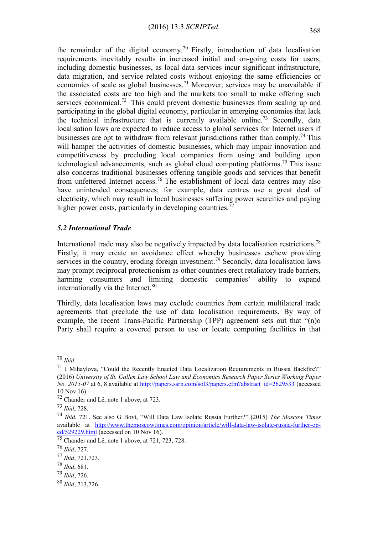the remainder of the digital economy.<sup>70</sup> Firstly, introduction of data localisation requirements inevitably results in increased initial and on-going costs for users, including domestic businesses, as local data services incur significant infrastructure, data migration, and service related costs without enjoying the same efficiencies or economies of scale as global businesses.<sup>71</sup> Moreover, services may be unavailable if the associated costs are too high and the markets too small to make offering such services economical.<sup>72</sup> This could prevent domestic businesses from scaling up and participating in the global digital economy, particular in emerging economies that lack the technical infrastructure that is currently available online.<sup>73</sup> Secondly, data localisation laws are expected to reduce access to global services for Internet users if businesses are opt to withdraw from relevant jurisdictions rather than comply.<sup>74</sup> This will hamper the activities of domestic businesses, which may impair innovation and competitiveness by precluding local companies from using and building upon technological advancements, such as global cloud computing platforms.<sup>75</sup> This issue also concerns traditional businesses offering tangible goods and services that benefit from unfettered Internet access.<sup>76</sup> The establishment of local data centres may also have unintended consequences; for example, data centres use a great deal of electricity, which may result in local businesses suffering power scarcities and paying higher power costs, particularly in developing countries.<sup> $77$ </sup>

#### *5.2 International Trade*

International trade may also be negatively impacted by data localisation restrictions.<sup>78</sup> Firstly, it may create an avoidance effect whereby businesses eschew providing services in the country, eroding foreign investment.<sup>79</sup> Secondly, data localisation laws may prompt reciprocal protectionism as other countries erect retaliatory trade barriers, harming consumers and limiting domestic companies' ability to expand internationally via the Internet.<sup>80</sup>

Thirdly, data localisation laws may exclude countries from certain multilateral trade agreements that preclude the use of data localisation requirements. By way of example, the recent Trans-Pacific Partnership (TPP) agreement sets out that "(n)o Party shall require a covered person to use or locate computing facilities in that

- <sup>78</sup> *Ibid*, 681.
- <sup>79</sup> *Ibid*, 726.
- <sup>80</sup> *Ibid*, 713,726.

<sup>70</sup> *Ibid*.

<sup>&</sup>lt;sup>71</sup> I Mihaylova, "Could the Recently Enacted Data Localization Requirements in Russia Backfire?" (2016) *University of St. Gallen Law School Law and Economics Research Paper Series Working Paper No. 2015-07* at 6, 8 available at [http://papers.ssrn.com/sol3/papers.cfm?abstract\\_id=2629533](http://papers.ssrn.com/sol3/papers.cfm?abstract_id=2629533) (accessed 10 Nov 16).

<sup>72</sup> Chander and Lê, note 1 above, at 723.

<sup>73</sup> *Ibid*, 728.

<sup>74</sup> *Ibid*, 721. See also G Bovt, "Will Data Law Isolate Russia Further?" (2015) *The Moscow Times*  available at [http://www.themoscowtimes.com/opinion/article/will-data-law-isolate-russia-further-op](http://www.themoscowtimes.com/opinion/article/will-data-law-isolate-russia-further-op-ed/529229.html)[ed/529229.html](http://www.themoscowtimes.com/opinion/article/will-data-law-isolate-russia-further-op-ed/529229.html) (accessed on 10 Nov 16).

<sup>75</sup> Chander and Lê, note 1 above, at 721, 723, 728.

<sup>76</sup> *Ibid*, 727.

<sup>77</sup> *Ibid*, 721,723.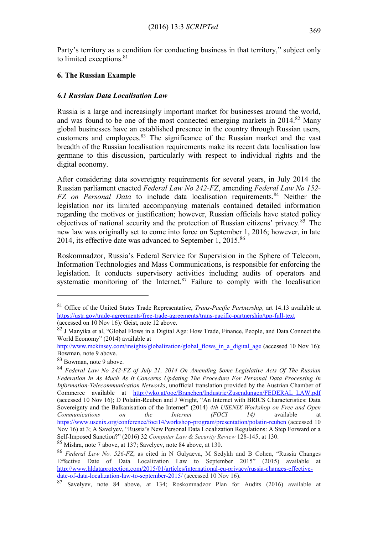Party's territory as a condition for conducting business in that territory," subject only to limited exceptions.<sup>81</sup>

# **6. The Russian Example**

# *6.1 Russian Data Localisation Law*

Russia is a large and increasingly important market for businesses around the world, and was found to be one of the most connected emerging markets in 2014.<sup>82</sup> Many global businesses have an established presence in the country through Russian users, customers and employees.<sup>83</sup> The significance of the Russian market and the vast breadth of the Russian localisation requirements make its recent data localisation law germane to this discussion, particularly with respect to individual rights and the digital economy.

After considering data sovereignty requirements for several years, in July 2014 the Russian parliament enacted *Federal Law No 242-FZ*, amending *Federal Law No 152- FZ on Personal Data* to include data localisation requirements.<sup>84</sup> Neither the legislation nor its limited accompanying materials contained detailed information regarding the motives or justification; however, Russian officials have stated policy objectives of national security and the protection of Russian citizens' privacy. $85$  The new law was originally set to come into force on September 1, 2016; however, in late 2014, its effective date was advanced to September 1,  $2015$ .<sup>86</sup>

Roskomnadzor, Russia's Federal Service for Supervision in the Sphere of Telecom, Information Technologies and Mass Communications, is responsible for enforcing the legislation. It conducts supervisory activities including audits of operators and systematic monitoring of the Internet. $87$  Failure to comply with the localisation

<sup>81</sup> Office of the United States Trade Representative, *Trans-Pacific Partnership,* art 14.13 available at <https://ustr.gov/trade-agreements/free-trade-agreements/trans-pacific-partnership/tpp-full-text> (accessed on 10 Nov 16)*;* Geist, note 12 above.

 $82$  J Manyika et al, "Global Flows in a Digital Age: How Trade, Finance, People, and Data Connect the World Economy" (2014) available at

[http://www.mckinsey.com/insights/globalization/global\\_flows\\_in\\_a\\_digital\\_age](http://www.mckinsey.com/insights/globalization/global_flows_in_a_digital_age) (accessed 10 Nov 16); Bowman, note 9 above.

<sup>83</sup> Bowman, note 9 above.

<sup>84</sup> *Federal Law No 242-FZ of July 21, 2014 On Amending Some Legislative Acts Of The Russian Federation In As Much As It Concerns Updating The Procedure For Personal Data Processing In Information-Telecommunication Networks*, unofficial translation provided by the Austrian Chamber of Commerce available at [http://wko.at/ooe/Branchen/Industrie/Zusendungen/FEDERAL\\_LAW.pdf](http://wko.at/ooe/Branchen/Industrie/Zusendungen/FEDERAL_LAW.pdf) (accessed 10 Nov 16); D Polatin-Reuben and J Wright, "An Internet with BRICS Characteristics: Data Sovereignty and the Balkanisation of the Internet" (2014) *4th USENIX Workshop on Free and Open Communications on the Internet (FOCI 14)* available at <https://www.usenix.org/conference/foci14/workshop-program/presentation/polatin-reuben> (accessed 10 Nov 16) at 3; A Savelyev, "Russia's New Personal Data Localization Regulations: A Step Forward or a Self-Imposed Sanction?" (2016) 32 *Computer Law & Security Review* 128-145, at 130.

<sup>85</sup> Mishra, note 7 above, at 137; Savelyev, note 84 above, at 130.

<sup>86</sup> *Federal Law No. 526-FZ*, as cited in N Gulyaeva, M Sedykh and B Cohen, "Russia Changes Effective Date of Data Localization Law to September 2015" (2015) available at [http://www.hldataprotection.com/2015/01/articles/international-eu-privacy/russia-changes-effective](http://www.hldataprotection.com/2015/01/articles/international-eu-privacy/russia-changes-effective-date-of-data-localization-law-to-september-2015/)[date-of-data-localization-law-to-september-2015/](http://www.hldataprotection.com/2015/01/articles/international-eu-privacy/russia-changes-effective-date-of-data-localization-law-to-september-2015/) (accessed 10 Nov 16).

<sup>87</sup> Savelyev, note 84 above, at 134; Roskomnadzor Plan for Audits (2016) available at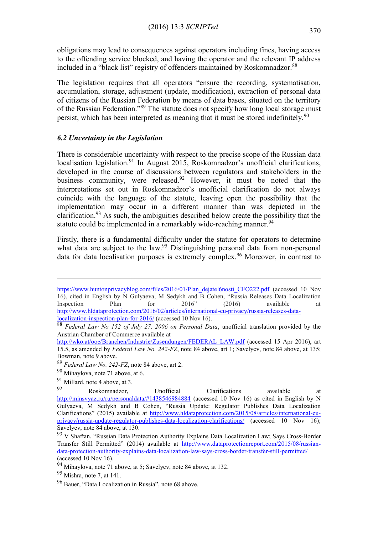obligations may lead to consequences against operators including fines, having access to the offending service blocked, and having the operator and the relevant IP address included in a "black list" registry of offenders maintained by Roskomnadzor.<sup>88</sup>

The legislation requires that all operators "ensure the recording, systematisation, accumulation, storage, adjustment (update, modification), extraction of personal data of citizens of the Russian Federation by means of data bases, situated on the territory of the Russian Federation."<sup>89</sup> The statute does not specify how long local storage must persist, which has been interpreted as meaning that it must be stored indefinitely.<sup>90</sup>

# *6.2 Uncertainty in the Legislation*

There is considerable uncertainty with respect to the precise scope of the Russian data localisation legislation.<sup>91</sup> In August 2015, Roskomnadzor's unofficial clarifications, developed in the course of discussions between regulators and stakeholders in the business community, were released.<sup>92</sup> However, it must be noted that the interpretations set out in Roskomnadzor's unofficial clarification do not always coincide with the language of the statute, leaving open the possibility that the implementation may occur in a different manner than was depicted in the clarification.<sup>93</sup> As such, the ambiguities described below create the possibility that the statute could be implemented in a remarkably wide-reaching manner.<sup>94</sup>

Firstly, there is a fundamental difficulty under the statute for operators to determine what data are subject to the law.<sup>95</sup> Distinguishing personal data from non-personal data for data localisation purposes is extremely complex.<sup>96</sup> Moreover, in contrast to

[https://www.huntonprivacyblog.com/files/2016/01/Plan\\_dejatel6nosti\\_CFO222.pdf](https://www.huntonprivacyblog.com/files/2016/01/Plan_dejatel6nosti_CFO222.pdf) (accessed 10 Nov 16), cited in English by N Gulyaeva, M Sedykh and B Cohen, "Russia Releases Data Localization Inspection Plan for 2016" (2016) available at [http://www.hldataprotection.com/2016/02/articles/international-eu-privacy/russia-releases-data](http://www.hldataprotection.com/2016/02/articles/international-eu-privacy/russia-releases-data-localization-inspection-plan-for-2016/)[localization-inspection-plan-for-2016/](http://www.hldataprotection.com/2016/02/articles/international-eu-privacy/russia-releases-data-localization-inspection-plan-for-2016/) (accessed 10 Nov 16).

<sup>88</sup> *Federal Law No 152 of July 27, 2006 on Personal Data*, unofficial translation provided by the Austrian Chamber of Commerce available at

[http://wko.at/ooe/Branchen/Industrie/Zusendungen/FEDERAL\\_LAW.pdf](http://wko.at/ooe/Branchen/Industrie/Zusendungen/FEDERAL_LAW.pdf) (accessed 15 Apr 2016), art 15.5, as amended by *Federal Law No. 242-FZ*, note 84 above, art 1; Savelyev, note 84 above, at 135; Bowman, note 9 above.

<sup>89</sup> *Federal Law No. 242-FZ*, note 84 above, art 2.

<sup>90</sup> Mihaylova, note 71 above, at 6.

 $\frac{91}{92}$  Millard, note 4 above, at 3.

<sup>92</sup> Roskomnadzor, Unofficial Clarifications available at <http://minsvyaz.ru/ru/personaldata/#1438546984884> (accessed 10 Nov 16) as cited in English by N Gulyaeva, M Sedykh and B Cohen, "Russia Update: Regulator Publishes Data Localization Clarifications" (2015) available at [http://www.hldataprotection.com/2015/08/articles/international-eu](http://www.hldataprotection.com/2015/08/articles/international-eu-privacy/russia-update-regulator-publishes-data-localization-clarifications/)[privacy/russia-update-regulator-publishes-data-localization-clarifications/](http://www.hldataprotection.com/2015/08/articles/international-eu-privacy/russia-update-regulator-publishes-data-localization-clarifications/) (accessed 10 Nov 16); Savelyev, note 84 above, at 130.

<sup>93</sup> V Shaftan, "Russian Data Protection Authority Explains Data Localization Law; Says Cross-Border Transfer Still Permitted" (2014) available at [http://www.dataprotectionreport.com/2015/08/russian](http://www.dataprotectionreport.com/2015/08/russian-data-protection-authority-explains-data-localization-law-says-cross-border-transfer-still-permitted/)[data-protection-authority-explains-data-localization-law-says-cross-border-transfer-still-permitted/](http://www.dataprotectionreport.com/2015/08/russian-data-protection-authority-explains-data-localization-law-says-cross-border-transfer-still-permitted/) (accessed 10 Nov 16).

 $94$  Mihaylova, note 71 above, at 5; Savelyev, note 84 above, at 132.

<sup>95</sup> Mishra, note 7, at 141.

<sup>96</sup> Bauer, "Data Localization in Russia", note 68 above.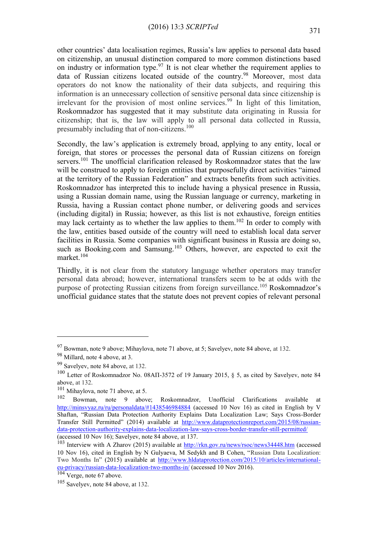other countries' data localisation regimes, Russia's law applies to personal data based on citizenship, an unusual distinction compared to more common distinctions based on industry or information type.<sup>97</sup> It is not clear whether the requirement applies to data of Russian citizens located outside of the country.<sup>98</sup> Moreover, most data operators do not know the nationality of their data subjects, and requiring this information is an unnecessary collection of sensitive personal data since citizenship is irrelevant for the provision of most online services.<sup>99</sup> In light of this limitation, Roskomnadzor has suggested that it may substitute data originating in Russia for citizenship; that is, the law will apply to all personal data collected in Russia, presumably including that of non-citizens.<sup>100</sup>

Secondly, the law's application is extremely broad, applying to any entity, local or foreign, that stores or processes the personal data of Russian citizens on foreign servers.<sup>101</sup> The unofficial clarification released by Roskomnadzor states that the law will be construed to apply to foreign entities that purposefully direct activities "aimed at the territory of the Russian Federation" and extracts benefits from such activities. Roskomnadzor has interpreted this to include having a physical presence in Russia, using a Russian domain name, using the Russian language or currency, marketing in Russia, having a Russian contact phone number, or delivering goods and services (including digital) in Russia; however, as this list is not exhaustive, foreign entities may lack certainty as to whether the law applies to them.<sup>102</sup> In order to comply with the law, entities based outside of the country will need to establish local data server facilities in Russia. Some companies with significant business in Russia are doing so, such as Booking.com and Samsung.<sup>103</sup> Others, however, are expected to exit the market.<sup>104</sup>

Thirdly, it is not clear from the statutory language whether operators may transfer personal data abroad; however, international transfers seem to be at odds with the purpose of protecting Russian citizens from foreign surveillance.<sup>105</sup> Roskomnadzor's unofficial guidance states that the statute does not prevent copies of relevant personal

<sup>97</sup> Bowman, note 9 above; Mihaylova, note 71 above, at 5; Savelyev, note 84 above, at 132.

<sup>98</sup> Millard, note 4 above, at 3.

<sup>99</sup> Savelyev, note 84 above, at 132.

<sup>&</sup>lt;sup>100</sup> Letter of Roskomnadzor No. 08AII-3572 of 19 January 2015, § 5, as cited by Savelyev, note 84 above, at 132.

<sup>&</sup>lt;sup>101</sup> Mihaylova, note 71 above, at 5.

<sup>102</sup> Bowman, note 9 above; Roskomnadzor, Unofficial Clarifications available at <http://minsvyaz.ru/ru/personaldata/#1438546984884> (accessed 10 Nov 16) as cited in English by V Shaftan, "Russian Data Protection Authority Explains Data Localization Law; Says Cross-Border Transfer Still Permitted" (2014) available at [http://www.dataprotectionreport.com/2015/08/russian](http://www.dataprotectionreport.com/2015/08/russian-data-protection-authority-explains-data-localization-law-says-cross-border-transfer-still-permitted/)[data-protection-authority-explains-data-localization-law-says-cross-border-transfer-still-permitted/](http://www.dataprotectionreport.com/2015/08/russian-data-protection-authority-explains-data-localization-law-says-cross-border-transfer-still-permitted/) (accessed 10 Nov 16); Savelyev, note 84 above, at 137.

<sup>103</sup> Interview with A Zharov (2015) available at<http://rkn.gov.ru/news/rsoc/news34448.htm> (accessed 10 Nov 16), cited in English by N Gulyaeva, M Sedykh and B Cohen, "Russian Data Localization: Two Months In" (2015) available at [http://www.hldataprotection.com/2015/10/articles/international](http://www.hldataprotection.com/2015/10/articles/international-eu-privacy/russian-data-localization-two-months-in/)[eu-privacy/russian-data-localization-two-months-in/](http://www.hldataprotection.com/2015/10/articles/international-eu-privacy/russian-data-localization-two-months-in/) (accessed 10 Nov 2016).

 $\overline{104}$  Verge, note 67 above.

 $105$  Savelyev, note 84 above, at 132.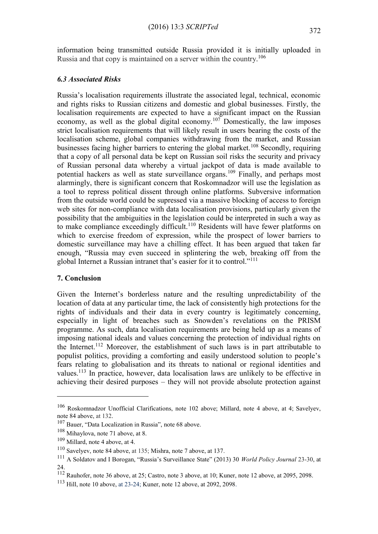information being transmitted outside Russia provided it is initially uploaded in Russia and that copy is maintained on a server within the country.<sup>106</sup>

#### *6.3 Associated Risks*

Russia's localisation requirements illustrate the associated legal, technical, economic and rights risks to Russian citizens and domestic and global businesses. Firstly, the localisation requirements are expected to have a significant impact on the Russian economy, as well as the global digital economy.<sup>107</sup> Domestically, the law imposes strict localisation requirements that will likely result in users bearing the costs of the localisation scheme, global companies withdrawing from the market, and Russian businesses facing higher barriers to entering the global market.<sup>108</sup> Secondly, requiring that a copy of all personal data be kept on Russian soil risks the security and privacy of Russian personal data whereby a virtual jackpot of data is made available to potential hackers as well as state surveillance organs.<sup>109</sup> Finally, and perhaps most alarmingly, there is significant concern that Roskomnadzor will use the legislation as a tool to repress political dissent through online platforms. Subversive information from the outside world could be supressed via a massive blocking of access to foreign web sites for non-compliance with data localisation provisions, particularly given the possibility that the ambiguities in the legislation could be interpreted in such a way as to make compliance exceedingly difficult.<sup>110</sup> Residents will have fewer platforms on which to exercise freedom of expression, while the prospect of lower barriers to domestic surveillance may have a chilling effect. It has been argued that taken far enough, "Russia may even succeed in splintering the web, breaking off from the global Internet a Russian intranet that's easier for it to control."<sup>111</sup>

## **7. Conclusion**

1

Given the Internet's borderless nature and the resulting unpredictability of the location of data at any particular time, the lack of consistently high protections for the rights of individuals and their data in every country is legitimately concerning, especially in light of breaches such as Snowden's revelations on the PRISM programme. As such, data localisation requirements are being held up as a means of imposing national ideals and values concerning the protection of individual rights on the Internet.<sup>112</sup> Moreover, the establishment of such laws is in part attributable to populist politics, providing a comforting and easily understood solution to people's fears relating to globalisation and its threats to national or regional identities and values.<sup>113</sup> In practice, however, data localisation laws are unlikely to be effective in achieving their desired purposes – they will not provide absolute protection against

<sup>106</sup> Roskomnadzor Unofficial Clarifications, note 102 above; Millard, note 4 above, at 4; Savelyev, note 84 above, at 132.

<sup>107</sup> Bauer, "Data Localization in Russia", note 68 above.

<sup>108</sup> Mihaylova, note 71 above, at 8.

<sup>109</sup> Millard, note 4 above, at 4.

<sup>110</sup> Savelyev, note 84 above, at 135; Mishra, note 7 above, at 137.

<sup>111</sup> A Soldatov and I Borogan, "Russia's Surveillance State" (2013) 30 *World Policy Journal* 23-30, at 24.

<sup>112</sup> Rauhofer, note 36 above, at 25; Castro, note 3 above, at 10; Kuner, note 12 above, at 2095, 2098.

<sup>113</sup> Hill, note 10 above, at 23-24; Kuner, note 12 above, at 2092, 2098.